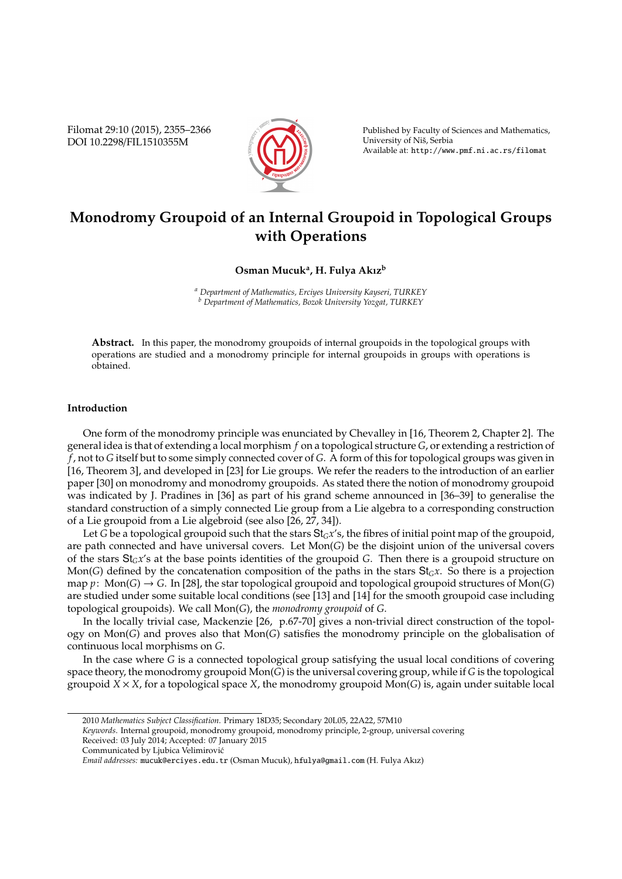Filomat 29:10 (2015), 2355–2366 DOI 10.2298/FIL1510355M



Published by Faculty of Sciences and Mathematics, University of Nis, Serbia ˇ Available at: http://www.pmf.ni.ac.rs/filomat

# **Monodromy Groupoid of an Internal Groupoid in Topological Groups with Operations**

# **Osman Mucuk<sup>a</sup> , H. Fulya Akız<sup>b</sup>**

*<sup>a</sup> Department of Mathematics, Erciyes University Kayseri, TURKEY <sup>b</sup> Department of Mathematics, Bozok University Yozgat, TURKEY*

**Abstract.** In this paper, the monodromy groupoids of internal groupoids in the topological groups with operations are studied and a monodromy principle for internal groupoids in groups with operations is obtained.

# **Introduction**

One form of the monodromy principle was enunciated by Chevalley in [16, Theorem 2, Chapter 2]. The general idea is that of extending a local morphism *f* on a topological structure *G*, or extending a restriction of *f*, not to *G* itself but to some simply connected cover of *G*. A form of this for topological groups was given in [16, Theorem 3], and developed in [23] for Lie groups. We refer the readers to the introduction of an earlier paper [30] on monodromy and monodromy groupoids. As stated there the notion of monodromy groupoid was indicated by J. Pradines in [36] as part of his grand scheme announced in [36–39] to generalise the standard construction of a simply connected Lie group from a Lie algebra to a corresponding construction of a Lie groupoid from a Lie algebroid (see also [26, 27, 34]).

Let *G* be a topological groupoid such that the stars St*Gx*'s, the fibres of initial point map of the groupoid, are path connected and have universal covers. Let Mon(*G*) be the disjoint union of the universal covers of the stars  $St_Gx$ 's at the base points identities of the groupoid *G*. Then there is a groupoid structure on Mon(*G*) defined by the concatenation composition of the paths in the stars  $St_G x$ . So there is a projection map  $p$ : Mon(*G*)  $\rightarrow$  *G*. In [28], the star topological groupoid and topological groupoid structures of Mon(*G*) are studied under some suitable local conditions (see [13] and [14] for the smooth groupoid case including topological groupoids). We call Mon(*G*), the *monodromy groupoid* of *G*.

In the locally trivial case, Mackenzie [26, p.67-70] gives a non-trivial direct construction of the topology on Mon(*G*) and proves also that Mon(*G*) satisfies the monodromy principle on the globalisation of continuous local morphisms on *G*.

In the case where *G* is a connected topological group satisfying the usual local conditions of covering space theory, the monodromy groupoid Mon(*G*) is the universal covering group, while if *G* is the topological groupoid *X* × *X*, for a topological space *X*, the monodromy groupoid Mon(*G*) is, again under suitable local

<sup>2010</sup> *Mathematics Subject Classification*. Primary 18D35; Secondary 20L05, 22A22, 57M10

*Keywords*. Internal groupoid, monodromy groupoid, monodromy principle, 2-group, universal covering Received: 03 July 2014; Accepted: 07 January 2015

Communicated by Ljubica Velimirovic´

*Email addresses:* mucuk@erciyes.edu.tr (Osman Mucuk), hfulya@gmail.com (H. Fulya Akız)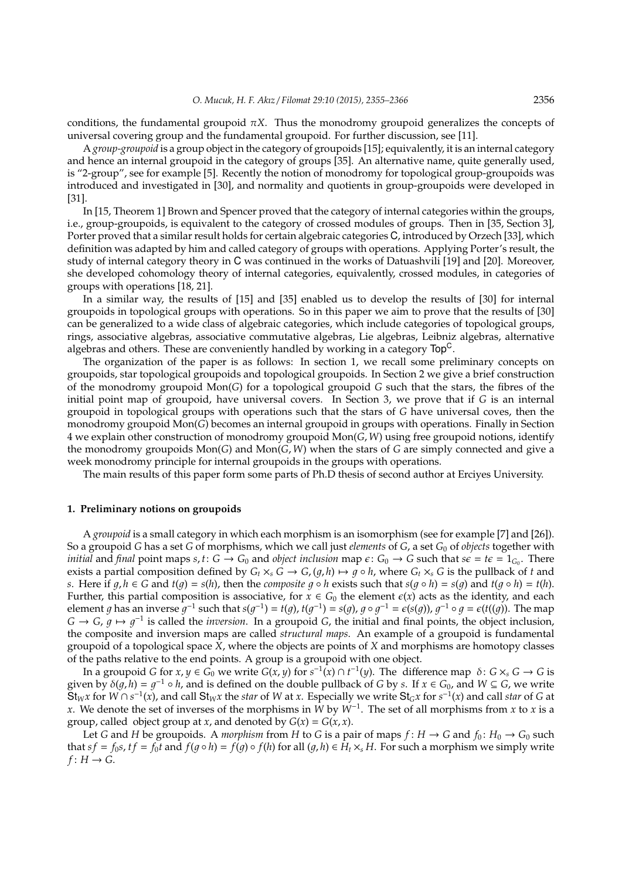conditions, the fundamental groupoid  $\pi X$ . Thus the monodromy groupoid generalizes the concepts of universal covering group and the fundamental groupoid. For further discussion, see [11].

A *group-groupoid* is a group object in the category of groupoids [15]; equivalently, it is an internal category and hence an internal groupoid in the category of groups [35]. An alternative name, quite generally used, is "2-group", see for example [5]. Recently the notion of monodromy for topological group-groupoids was introduced and investigated in [30], and normality and quotients in group-groupoids were developed in [31].

In [15, Theorem 1] Brown and Spencer proved that the category of internal categories within the groups, i.e., group-groupoids, is equivalent to the category of crossed modules of groups. Then in [35, Section 3], Porter proved that a similar result holds for certain algebraic categories C, introduced by Orzech [33], which definition was adapted by him and called category of groups with operations. Applying Porter's result, the study of internal category theory in C was continued in the works of Datuashvili [19] and [20]. Moreover, she developed cohomology theory of internal categories, equivalently, crossed modules, in categories of groups with operations [18, 21].

In a similar way, the results of [15] and [35] enabled us to develop the results of [30] for internal groupoids in topological groups with operations. So in this paper we aim to prove that the results of [30] can be generalized to a wide class of algebraic categories, which include categories of topological groups, rings, associative algebras, associative commutative algebras, Lie algebras, Leibniz algebras, alternative algebras and others. These are conveniently handled by working in a category  $Top<sup>C</sup>$ .

The organization of the paper is as follows: In section 1, we recall some preliminary concepts on groupoids, star topological groupoids and topological groupoids. In Section 2 we give a brief construction of the monodromy groupoid Mon(*G*) for a topological groupoid *G* such that the stars, the fibres of the initial point map of groupoid, have universal covers. In Section 3, we prove that if *G* is an internal groupoid in topological groups with operations such that the stars of *G* have universal coves, then the monodromy groupoid Mon(*G*) becomes an internal groupoid in groups with operations. Finally in Section 4 we explain other construction of monodromy groupoid Mon(*G*, *W*) using free groupoid notions, identify the monodromy groupoids Mon(*G*) and Mon(*G*, *W*) when the stars of *G* are simply connected and give a week monodromy principle for internal groupoids in the groups with operations.

The main results of this paper form some parts of Ph.D thesis of second author at Erciyes University.

## **1. Preliminary notions on groupoids**

A *groupoid* is a small category in which each morphism is an isomorphism (see for example [7] and [26]). So a groupoid *G* has a set *G* of morphisms, which we call just *elements* of *G*, a set *G*<sup>0</sup> of *objects* together with *initial* and *final* point maps *s*, *t*:  $G \to G_0$  and *object inclusion* map  $\epsilon$ :  $G_0 \to G$  such that  $s\epsilon = t\epsilon = 1_{G_0}$ . There exists a partial composition defined by  $G_t \times_S G \to G$ ,  $(q, h) \mapsto q \circ h$ , where  $G_t \times_S G$  is the pullback of *t* and *s*. Here if  $q, h \in G$  and  $t(q) = s(h)$ , then the *composite*  $q \circ h$  exists such that  $s(q \circ h) = s(q)$  and  $t(q \circ h) = t(h)$ . Further, this partial composition is associative, for  $x \in G_0$  the element  $\varepsilon(x)$  acts as the identity, and each element g has an inverse  $g^{-1}$  such that  $s(g^{-1}) = t(g)$ ,  $t(g^{-1}) = s(g)$ ,  $g \circ g^{-1} = \varepsilon(s(g))$ ,  $g^{-1} \circ g = \varepsilon(t((g))$ . The map  $G \to G$ ,  $g \mapsto g^{-1}$  is called the *inversion*. In a groupoid *G*, the initial and final points, the object inclusion, the composite and inversion maps are called *structural maps*. An example of a groupoid is fundamental groupoid of a topological space *X*, where the objects are points of *X* and morphisms are homotopy classes of the paths relative to the end points. A group is a groupoid with one object.

In a groupoid *G* for  $x, y \in G_0$  we write  $G(x, y)$  for  $s^{-1}(x) \cap t^{-1}(y)$ . The difference map  $\delta: G \times_s G \to G$  is given by  $\delta(g, h) = g^{-1} \circ h$ , and is defined on the double pullback of *G* by *s*. If  $x \in G_0$ , and  $W \subseteq G$ , we write  $St_{W}$ x for  $W \cap s^{-1}(x)$ , and call  $St_{W}$ x the star of W at x. Especially we write  $St_{G}$ x for  $s^{-1}(x)$  and call star of G at *x*. We denote the set of inverses of the morphisms in *W* by *W*<sup>−</sup><sup>1</sup> . The set of all morphisms from *x* to *x* is a group, called object group at *x*, and denoted by  $G(x) = G(x, x)$ .

Let *G* and *H* be groupoids. A *morphism* from *H* to *G* is a pair of maps  $f: H \to G$  and  $f_0: H_0 \to G_0$  such that  $sf = f_0s$ ,  $tf = f_0t$  and  $f(g \circ h) = f(g) \circ f(h)$  for all  $(g, h) \in H_t \times_s H$ . For such a morphism we simply write  $f: H \to G$ .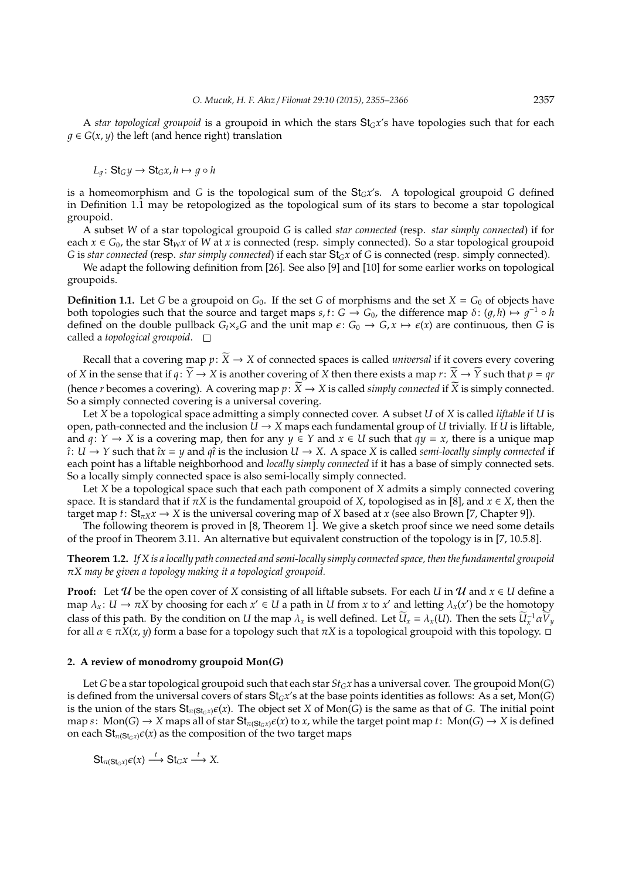A *star topological groupoid* is a groupoid in which the stars  $St_Gx$ 's have topologies such that for each  $q \in G(x, y)$  the left (and hence right) translation

$$
L_g\colon \mathsf{St}_G y \to \mathsf{St}_G x, h \mapsto g \circ h
$$

is a homeomorphism and *G* is the topological sum of the  $St<sub>G</sub>x's$ . A topological groupoid *G* defined in Definition 1.1 may be retopologized as the topological sum of its stars to become a star topological groupoid.

A subset *W* of a star topological groupoid *G* is called *star connected* (resp. *star simply connected*) if for each  $x \in G_0$ , the star St<sub>*W*</sub>*x* of *W* at *x* is connected (resp. simply connected). So a star topological groupoid *G* is *star connected* (resp. *star simply connected*) if each star St*Gx* of *G* is connected (resp. simply connected).

We adapt the following definition from [26]. See also [9] and [10] for some earlier works on topological groupoids.

**Definition 1.1.** Let *G* be a groupoid on  $G_0$ . If the set *G* of morphisms and the set  $X = G_0$  of objects have both topologies such that the source and target maps  $s, t: G \to G_0$ , the difference map  $\delta: (g, h) \mapsto g^{-1} \circ h$ defined on the double pullback  $G_t \times_S G$  and the unit map  $\epsilon: G_0 \to G$ ,  $x \mapsto \epsilon(x)$  are continuous, then *G* is called a *topological groupoid*.

Recall that a covering map  $p: \widetilde{X} \to X$  of connected spaces is called *universal* if it covers every covering of *X* in the sense that if  $q: \widetilde{Y} \to X$  is another covering of *X* then there exists a map  $r: \widetilde{X} \to \widetilde{Y}$  such that  $p = qr$ (hence *r* becomes a covering). A covering map  $p: \widetilde{X} \to X$  is called *simply connected* if  $\widetilde{X}$  is simply connected. So a simply connected covering is a universal covering.

Let *X* be a topological space admitting a simply connected cover. A subset *U* of *X* is called *liftable* if *U* is open, path-connected and the inclusion  $U \rightarrow X$  maps each fundamental group of *U* trivially. If *U* is liftable, and  $q: Y \to X$  is a covering map, then for any  $y \in Y$  and  $x \in U$  such that  $qy = x$ , there is a unique map  $\hat{i}: U \to Y$  such that  $\hat{i}x = y$  and  $q\hat{i}$  is the inclusion  $U \to X$ . A space X is called *semi-locally simply connected* if each point has a liftable neighborhood and *locally simply connected* if it has a base of simply connected sets. So a locally simply connected space is also semi-locally simply connected.

Let *X* be a topological space such that each path component of *X* admits a simply connected covering space. It is standard that if  $\pi X$  is the fundamental groupoid of *X*, topologised as in [8], and  $x \in X$ , then the target map  $t: St_{\pi X}$ *x*  $\rightarrow$  *X* is the universal covering map of *X* based at *x* (see also Brown [7, Chapter 9]).

The following theorem is proved in [8, Theorem 1]. We give a sketch proof since we need some details of the proof in Theorem 3.11. An alternative but equivalent construction of the topology is in [7, 10.5.8].

**Theorem 1.2.** *If X is a locally path connected and semi-locally simply connected space, then the fundamental groupoid* π*X may be given a topology making it a topological groupoid.*

**Proof:** Let  $U$  be the open cover of *X* consisting of all liftable subsets. For each *U* in  $U$  and  $x \in U$  define a map  $\lambda_x$ :  $U \to \pi X$  by choosing for each  $x' \in U$  a path in  $U$  from  $x$  to  $x'$  and letting  $\lambda_x(x')$  be the homotopy class of this path. By the condition on *U* the map  $\lambda_x$  is well defined. Let  $\widetilde{U}_x = \lambda_x(U)$ . Then the sets  $\widetilde{U}_x^{-1} \alpha \widetilde{V}_y$ for all  $\alpha \in \pi X(x, y)$  form a base for a topology such that  $\pi X$  is a topological groupoid with this topology.  $\Box$ 

#### **2. A review of monodromy groupoid Mon(***G***)**

Let *G* be a star topological groupoid such that each star *StGx* has a universal cover. The groupoid Mon(*G*) is defined from the universal covers of stars St*Gx*'s at the base points identities as follows: As a set, Mon(*G*) is the union of the stars  $\mathbf{S}t_{\pi(\mathbf{S}t_{\text{G}},x)}\epsilon(x)$ . The object set *X* of Mon(*G*) is the same as that of *G*. The initial point  $map s$ :  $Mon(G) \rightarrow X$  maps all of star  $St_{\pi(St_Gx)}\epsilon(x)$  to *x*, while the target point map *t*:  $Mon(G) \rightarrow X$  is defined on each  $\text{St}_{\pi(\text{St}_G x)}\epsilon(x)$  as the composition of the two target maps

 $\mathsf{St}_{\pi(\mathsf{St}_G x)} \epsilon(x) \stackrel{t}{\longrightarrow} \mathsf{St}_G x \stackrel{t}{\longrightarrow} X.$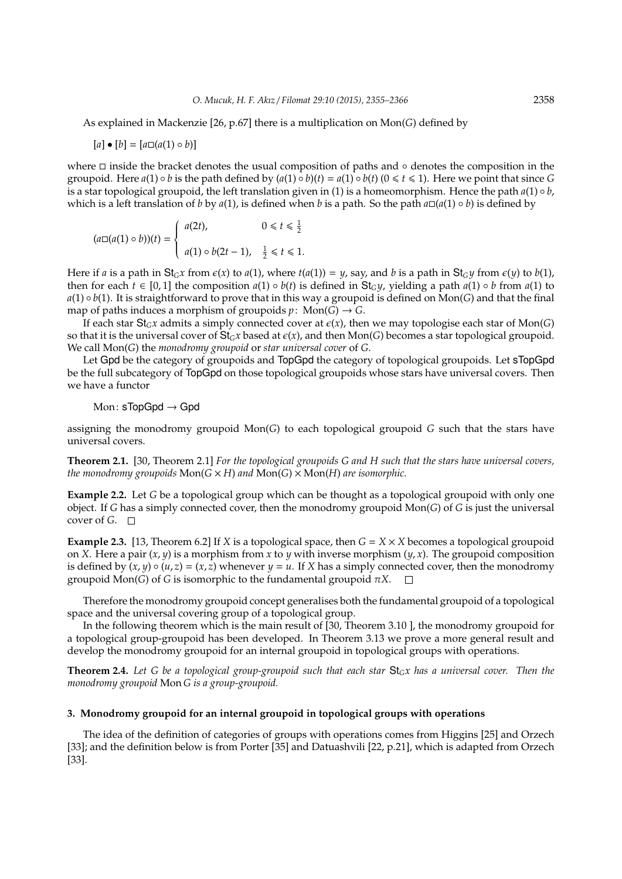As explained in Mackenzie [26, p.67] there is a multiplication on Mon(*G*) defined by

$$
[a] \bullet [b] = [a \square (a(1) \circ b)]
$$

where  $\Box$  inside the bracket denotes the usual composition of paths and ∘ denotes the composition in the groupoid. Here  $a(1) \circ b$  is the path defined by  $(a(1) \circ b)(t) = a(1) \circ b(t)$   $(0 \le t \le 1)$ . Here we point that since *G* is a star topological groupoid, the left translation given in (1) is a homeomorphism. Hence the path  $a(1) \circ b$ , which is a left translation of *b* by *a*(1), is defined when *b* is a path. So the path  $a\Box(a(1) \circ b)$  is defined by

$$
(a \Box (a(1) \circ b))(t) = \begin{cases} a(2t), & 0 \le t \le \frac{1}{2} \\ a(1) \circ b(2t-1), & \frac{1}{2} \le t \le 1. \end{cases}
$$

Here if *a* is a path in St<sub>G</sub>*x* from  $\epsilon(x)$  to  $a(1)$ , where  $t(a(1)) = y$ , say, and *b* is a path in St<sub>G</sub>*y* from  $\epsilon(y)$  to  $b(1)$ , then for each  $t \in [0,1]$  the composition  $a(1) \circ b(t)$  is defined in St<sub>G</sub>y, yielding a path  $a(1) \circ b$  from  $a(1)$  to  $a(1) \circ b(1)$ . It is straightforward to prove that in this way a groupoid is defined on Mon(*G*) and that the final map of paths induces a morphism of groupoids  $p$ : Mon(*G*)  $\rightarrow$  *G*.

If each star  $St_Gx$  admits a simply connected cover at  $\varepsilon(x)$ , then we may topologise each star of Mon(*G*) so that it is the universal cover of  $St_Gx$  based at  $\epsilon(x)$ , and then Mon(*G*) becomes a star topological groupoid. We call Mon(*G*) the *monodromy groupoid* or *star universal cover* of *G*.

Let Gpd be the category of groupoids and TopGpd the category of topological groupoids. Let sTopGpd be the full subcategory of TopGpd on those topological groupoids whose stars have universal covers. Then we have a functor

Mon:  $sTopGod \rightarrow God$ 

assigning the monodromy groupoid Mon(*G*) to each topological groupoid *G* such that the stars have universal covers.

**Theorem 2.1.** [30, Theorem 2.1] *For the topological groupoids G and H such that the stars have universal covers, the monodromy groupoids*  $Mon(G \times H)$  *and*  $Mon(G) \times Mon(H)$  *are isomorphic.* 

**Example 2.2.** Let *G* be a topological group which can be thought as a topological groupoid with only one object. If *G* has a simply connected cover, then the monodromy groupoid Mon(*G*) of *G* is just the universal cover of *G*. □

**Example 2.3.** [13, Theorem 6.2] If *X* is a topological space, then  $G = X \times X$  becomes a topological groupoid on *X*. Here a pair  $(x, y)$  is a morphism from *x* to *y* with inverse morphism  $(y, x)$ . The groupoid composition is defined by  $(x, y) \circ (u, z) = (x, z)$  whenever  $y = u$ . If *X* has a simply connected cover, then the monodromy groupoid Mon(*G*) of *G* is isomorphic to the fundamental groupoid π*X*.

Therefore the monodromy groupoid concept generalises both the fundamental groupoid of a topological space and the universal covering group of a topological group.

In the following theorem which is the main result of [30, Theorem 3.10 ], the monodromy groupoid for a topological group-groupoid has been developed. In Theorem 3.13 we prove a more general result and develop the monodromy groupoid for an internal groupoid in topological groups with operations.

**Theorem 2.4.** *Let G be a topological group-groupoid such that each star* St*Gx has a universal cover. Then the monodromy groupoid* Mon *G is a group-groupoid.*

### **3. Monodromy groupoid for an internal groupoid in topological groups with operations**

The idea of the definition of categories of groups with operations comes from Higgins [25] and Orzech [33]; and the definition below is from Porter [35] and Datuashvili [22, p.21], which is adapted from Orzech [33].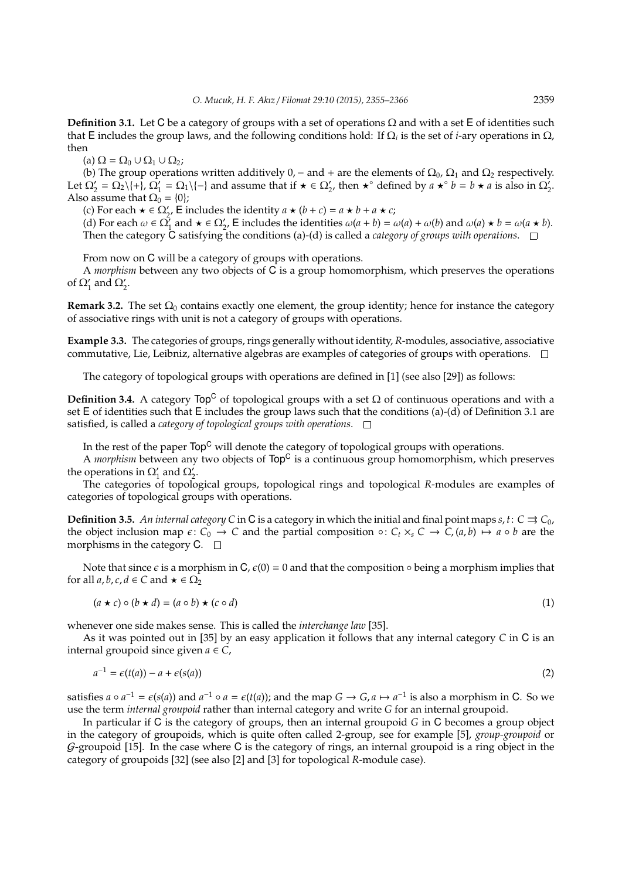**Definition 3.1.** Let C be a category of groups with a set of operations  $\Omega$  and with a set E of identities such that **E** includes the group laws, and the following conditions hold: If  $\Omega_i$  is the set of *i*-ary operations in  $\Omega$ , then

(a)  $\Omega = \Omega_0 \cup \Omega_1 \cup \Omega_2$ ;

(b) The group operations written additively 0, – and + are the elements of  $\Omega_0$ ,  $\Omega_1$  and  $\Omega_2$  respectively. Let  $\Omega_2' = \Omega_2 \setminus \{ + \}, \Omega_1' = \Omega_1 \setminus \{ - \}$  and assume that if  $\star \in \Omega_2'$ , then  $\star^{\circ}$  defined by  $a \star^{\circ} b = b \star a$  is also in  $\Omega_2'$ . Also assume that  $\Omega_0 = \{0\}$ ;

(c) For each  $\star \in \Omega'_2$ , E includes the identity  $a \star (b + c) = a \star b + a \star c$ ;

(d) For each  $\omega \in \Omega_1^{\prime}$  and  $\star \in \Omega_2^{\prime}$ . E includes the identities  $\omega(a + b) = \omega(a) + \omega(b)$  and  $\omega(a) \star b = \omega(a \star b)$ . Then the category  $\dot{C}$  satisfying the conditions (a)-(d) is called a *category of groups with operations*.  $\Box$ 

From now on C will be a category of groups with operations.

A *morphism* between any two objects of C is a group homomorphism, which preserves the operations of  $\Omega'_1$  and  $\Omega'_2$ .

**Remark 3.2.** The set  $\Omega_0$  contains exactly one element, the group identity; hence for instance the category of associative rings with unit is not a category of groups with operations.

**Example 3.3.** The categories of groups, rings generally without identity, *R*-modules, associative, associative commutative, Lie, Leibniz, alternative algebras are examples of categories of groups with operations.  $\Box$ 

The category of topological groups with operations are defined in [1] (see also [29]) as follows:

**Definition 3.4.** A category  $\text{Top}^C$  of topological groups with a set  $\Omega$  of continuous operations and with a set E of identities such that E includes the group laws such that the conditions (a)-(d) of Definition 3.1 are satisfied, is called a *category of topological groups with operations*.

In the rest of the paper Top<sup>C</sup> will denote the category of topological groups with operations.

A *morphism* between any two objects of  $Top<sup>C</sup>$  is a continuous group homomorphism, which preserves the operations in  $\Omega'_1$  and  $\Omega'_2$ .

The categories of topological groups, topological rings and topological *R*-modules are examples of categories of topological groups with operations.

**Definition 3.5.** *An internal category C* in C is a category in which the initial and final point maps  $s, t: C \rightrightarrows C_0$ , the object inclusion map  $\epsilon: C_0 \to C$  and the partial composition  $\circ: C_t \times_S C \to C$ ,  $(a, b) \mapsto a \circ b$  are the morphisms in the category  $C. \square$ 

Note that since  $\epsilon$  is a morphism in  $C$ ,  $\epsilon(0) = 0$  and that the composition  $\circ$  being a morphism implies that for all  $a, b, c, d \in C$  and  $\star \in \Omega_2$ 

$$
(a \star c) \circ (b \star d) = (a \circ b) \star (c \circ d) \tag{1}
$$

whenever one side makes sense. This is called the *interchange law* [35].

As it was pointed out in [35] by an easy application it follows that any internal category *C* in C is an internal groupoid since given  $a \in C$ ,

$$
a^{-1} = \epsilon(t(a)) - a + \epsilon(s(a))
$$
\n<sup>(2)</sup>

satisfies  $a \circ a^{-1} = \epsilon(s(a))$  and  $a^{-1} \circ a = \epsilon(t(a))$ ; and the map  $G \to G$ ,  $a \mapsto a^{-1}$  is also a morphism in C. So we use the term *internal groupoid* rather than internal category and write *G* for an internal groupoid.

In particular if C is the category of groups, then an internal groupoid *G* in C becomes a group object in the category of groupoids, which is quite often called 2-group, see for example [5], *group-groupoid* or  $G$ -groupoid [15]. In the case where C is the category of rings, an internal groupoid is a ring object in the category of groupoids [32] (see also [2] and [3] for topological *R*-module case).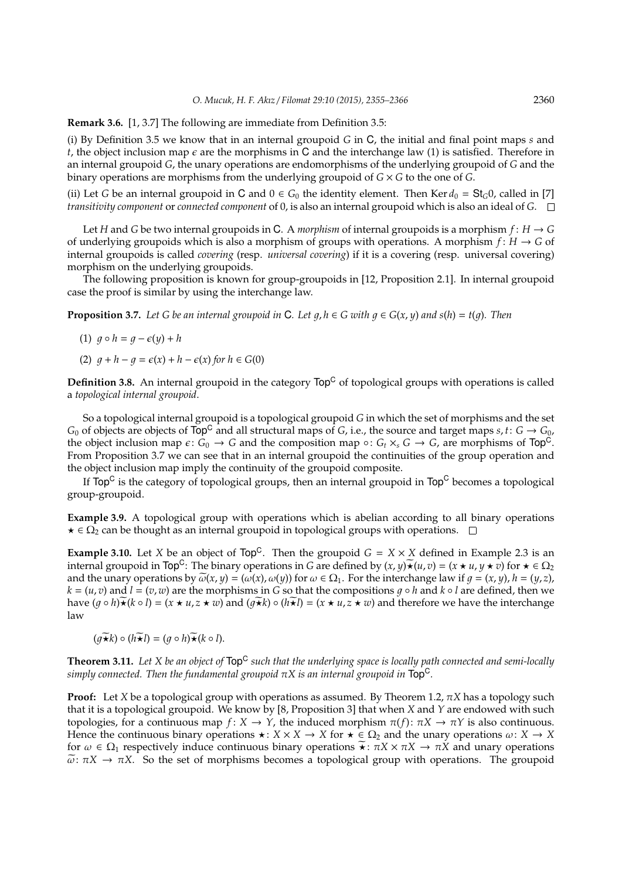**Remark 3.6.** [1, 3.7] The following are immediate from Definition 3.5:

(i) By Definition 3.5 we know that in an internal groupoid *G* in C, the initial and final point maps *s* and *t*, the object inclusion map  $\epsilon$  are the morphisms in C and the interchange law (1) is satisfied. Therefore in an internal groupoid *G*, the unary operations are endomorphisms of the underlying groupoid of *G* and the binary operations are morphisms from the underlying groupoid of *G* × *G* to the one of *G*.

(ii) Let *G* be an internal groupoid in **C** and  $0 \in G_0$  the identity element. Then Ker  $d_0 = St_G 0$ , called in [7] *transitivity component* or *connected component* of 0, is also an internal groupoid which is also an ideal of *G*.

Let *H* and *G* be two internal groupoids in C. A *morphism* of internal groupoids is a morphism  $f: H \to G$ of underlying groupoids which is also a morphism of groups with operations. A morphism  $f: H \to G$  of internal groupoids is called *covering* (resp. *universal covering*) if it is a covering (resp. universal covering) morphism on the underlying groupoids.

The following proposition is known for group-groupoids in [12, Proposition 2.1]. In internal groupoid case the proof is similar by using the interchange law.

**Proposition 3.7.** Let G be an internal groupoid in C. Let  $q, h \in G$  with  $q \in G(x, y)$  and  $s(h) = t(q)$ . Then

$$
(1) \ \ g \circ h = g - \epsilon(y) + h
$$

(2)  $q + h - q = \epsilon(x) + h - \epsilon(x)$  for  $h \in G(0)$ 

**Definition 3.8.** An internal groupoid in the category  $Top<sup>C</sup>$  of topological groups with operations is called a *topological internal groupoid*.

So a topological internal groupoid is a topological groupoid *G* in which the set of morphisms and the set  $G_0$  of objects are objects of  $Top^C$  and all structural maps of *G*, i.e., the source and target maps *s*, *t*:  $G \rightarrow G_0$ , the object inclusion map  $\epsilon: G_0 \to G$  and the composition map  $\circ: G_t \times_S G \to G$ , are morphisms of Top<sup>C</sup>. From Proposition 3.7 we can see that in an internal groupoid the continuities of the group operation and the object inclusion map imply the continuity of the groupoid composite.

If  $\mathsf{Top}^\mathsf{C}$  is the category of topological groups, then an internal groupoid in  $\mathsf{Top}^\mathsf{C}$  becomes a topological group-groupoid.

**Example 3.9.** A topological group with operations which is abelian according to all binary operations  $\star \in \Omega_2$  can be thought as an internal groupoid in topological groups with operations.  $\Box$ 

**Example 3.10.** Let *X* be an object of  $Top^C$ . Then the groupoid  $G = X \times X$  defined in Example 2.3 is an internal groupoid in Top<sup>C</sup>: The binary operations in *G* are defined by  $(x, y) \star (u, v) = (x \star u, y \star v)$  for  $\star \in \Omega_2$ and the unary operations by  $\widetilde{\omega}(x, y) = (\omega(x), \omega(y))$  for  $\omega \in \Omega_1$ . For the interchange law if  $q = (x, y)$ ,  $h = (y, z)$ ,  $k = (u, v)$  and  $l = (v, w)$  are the morphisms in *G* so that the compositions  $q \circ h$  and  $k \circ l$  are defined, then we have  $(q \circ h) \star (k \circ l) = (x \star u, z \star w)$  and  $(q \star k) \circ (h \star l) = (x \star u, z \star w)$  and therefore we have the interchange law

$$
(\widetilde{g\star k})\circ (h\widetilde{\star l})=(g\circ h)\widetilde{\star}(k\circ l).
$$

**Theorem 3.11.** *Let X be an object of* Top<sup>C</sup> *such that the underlying space is locally path connected and semi-locally simply connected. Then the fundamental groupoid*  $\pi X$  *is an internal groupoid in*  $Top<sup>C</sup>$ *.* 

**Proof:** Let *X* be a topological group with operations as assumed. By Theorem 1.2,  $\pi X$  has a topology such that it is a topological groupoid. We know by [8, Proposition 3] that when *X* and *Y* are endowed with such topologies, for a continuous map *f* : *X* → *Y*, the induced morphism  $\pi$ (*f*):  $\pi$ *X* →  $\pi$ *Y* is also continuous. Hence the continuous binary operations  $\star : X \times X \to X$  for  $\star \in \Omega_2$  and the unary operations  $\omega: X \to X$ for  $\omega \in \Omega_1$  respectively induce continuous binary operations  $\star : \pi X \times \pi X \to \pi X$  and unary operations  $\tilde{\omega}$ :  $\pi X \to \pi X$ . So the set of morphisms becomes a topological group with operations. The groupoid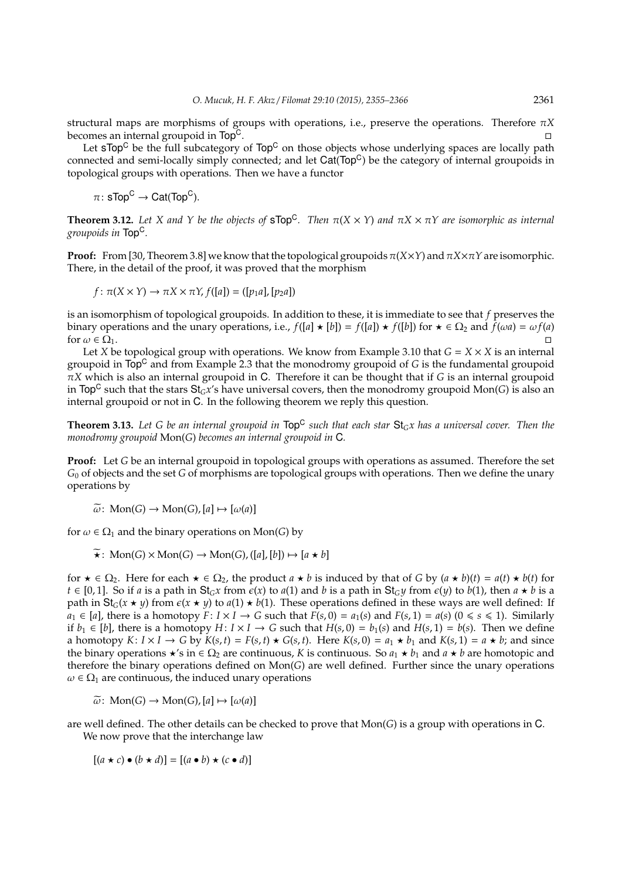structural maps are morphisms of groups with operations, i.e., preserve the operations. Therefore π*X* becomes an internal groupoid in Top<sup>C</sup>.

Let  $\text{STop}^C$  be the full subcategory of  $\text{Top}^C$  on those objects whose underlying spaces are locally path connected and semi-locally simply connected; and let  $Cat(Top<sup>C</sup>)$  be the category of internal groupoids in topological groups with operations. Then we have a functor

 $\pi\colon \mathsf{sTop}^\mathsf{C}\to \mathsf{Cat}(\mathsf{Top}^\mathsf{C}).$ 

**Theorem 3.12.** Let X and Y be the objects of sTop<sup>C</sup>. Then  $\pi(X \times Y)$  and  $\pi X \times \pi Y$  are isomorphic as internal *groupoids in* TopC*.*

**Proof:** From [30, Theorem 3.8] we know that the topological groupoids  $\pi(X\times Y)$  and  $\pi X\times \pi Y$  are isomorphic. There, in the detail of the proof, it was proved that the morphism

 $f: \pi(X \times Y) \to \pi X \times \pi Y$ ,  $f([a]) = ([p_1a], [p_2a])$ 

is an isomorphism of topological groupoids. In addition to these, it is immediate to see that *f* preserves the binary operations and the unary operations, i.e.,  $f([a] \star [b]) = f([a]) \star f([b])$  for  $\star \in \Omega_2$  and  $f(\omega a) = \omega f(a)$ for  $\omega \in \Omega_1$ .

Let *X* be topological group with operations. We know from Example 3.10 that  $G = X \times X$  is an internal groupoid in Top<sup>C</sup> and from Example 2.3 that the monodromy groupoid of *G* is the fundamental groupoid π*X* which is also an internal groupoid in C. Therefore it can be thought that if *G* is an internal groupoid in Top<sup>C</sup> such that the stars  $St_Gx$ 's have universal covers, then the monodromy groupoid Mon(*G*) is also an internal groupoid or not in C. In the following theorem we reply this question.

**Theorem 3.13.** *Let G be an internal groupoid in* Top<sup>C</sup> *such that each star* St*Gx has a universal cover. Then the monodromy groupoid* Mon(*G*) *becomes an internal groupoid in* C*.*

**Proof:** Let *G* be an internal groupoid in topological groups with operations as assumed. Therefore the set *G*<sup>0</sup> of objects and the set *G* of morphisms are topological groups with operations. Then we define the unary operations by

$$
\widetilde{\omega}\colon \operatorname{Mon}(G) \to \operatorname{Mon}(G), [a] \mapsto [\omega(a)]
$$

for  $\omega \in \Omega_1$  and the binary operations on Mon(*G*) by

 $\widetilde{\star}$ : Mon(*G*) × Mon(*G*)  $\rightarrow$  Mon(*G*), ([*a*], [*b*])  $\mapsto$  [*a*  $\star$  *b*]

for  $\star \in \Omega_2$ . Here for each  $\star \in \Omega_2$ , the product  $a \star b$  is induced by that of *G* by  $(a \star b)(t) = a(t) \star b(t)$  for  $t \in [0, 1]$ . So if *a* is a path in  $St_Gx$  from  $\varepsilon(x)$  to  $a(1)$  and *b* is a path in  $St_Gy$  from  $\varepsilon(y)$  to  $b(1)$ , then  $a \star b$  is a path in  $St_G(x \star y)$  from  $\epsilon(x \star y)$  to  $a(1) \star b(1)$ . These operations defined in these ways are well defined: If *a*<sub>1</sub> ∈ [*a*], there is a homotopy *F*: *I* × *I* → *G* such that *F*(*s*, 0) = *a*<sub>1</sub>(*s*) and *F*(*s*, 1) = *a*(*s*) (0 ≤ *s* ≤ 1). Similarly if *b*<sub>1</sub> ∈ [*b*], there is a homotopy *H*: *I* × *I* → *G* such that *H*(*s*, 0) = *b*<sub>1</sub>(*s*) and *H*(*s*, 1) = *b*(*s*). Then we define a homotopy  $K: I \times I \to G$  by  $K(s,t) = F(s,t) \star G(s,t)$ . Here  $K(s,0) = a_1 \star b_1$  and  $K(s,1) = a \star b$ ; and since the binary operations  $\star$ 's in  $\in \Omega_2$  are continuous, *K* is continuous. So  $a_1 \star b_1$  and  $a \star b$  are homotopic and therefore the binary operations defined on Mon(*G*) are well defined. Further since the unary operations  $\omega \in \Omega_1$  are continuous, the induced unary operations

 $\widetilde{\omega}$ : Mon(*G*)  $\rightarrow$  Mon(*G*), [*a*]  $\mapsto$  [ $\omega$ (*a*)]

are well defined. The other details can be checked to prove that Mon(*G*) is a group with operations in C. We now prove that the interchange law

 $[(a \star c) \bullet (b \star d)] = [(a \bullet b) \star (c \bullet d)]$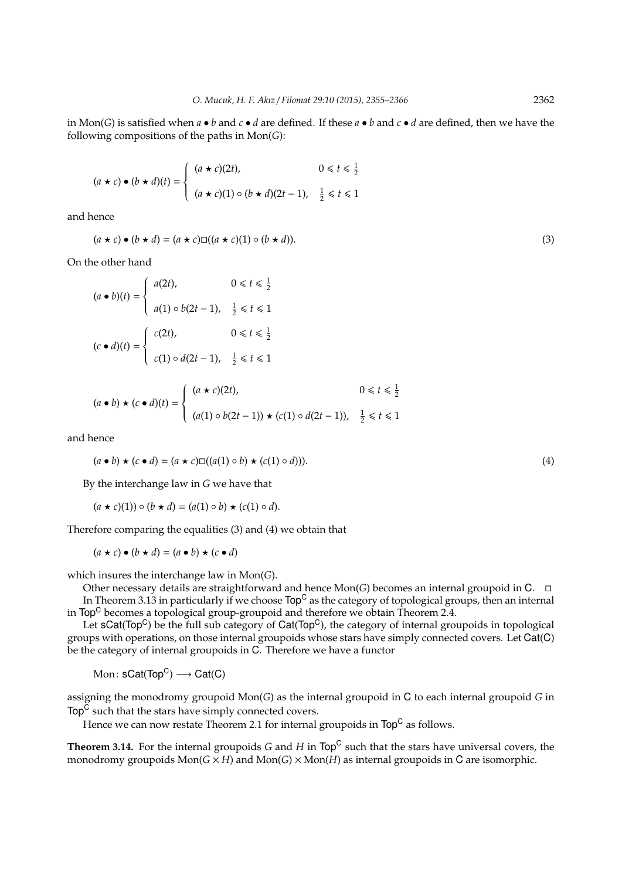in Mon(*G*) is satisfied when *a* • *b* and *c* • *d* are defined. If these *a* • *b* and *c* • *d* are defined, then we have the following compositions of the paths in Mon(*G*):

$$
(a \star c) \bullet (b \star d)(t) = \begin{cases} (a \star c)(2t), & 0 \le t \le \frac{1}{2} \\ (a \star c)(1) \circ (b \star d)(2t - 1), & \frac{1}{2} \le t \le 1 \end{cases}
$$

and hence

$$
(a \star c) \bullet (b \star d) = (a \star c) \square ((a \star c)(1) \circ (b \star d)).
$$
\n(3)

On the other hand

$$
(a \bullet b)(t) = \begin{cases} a(2t), & 0 \le t \le \frac{1}{2} \\ a(1) \circ b(2t - 1), & \frac{1}{2} \le t \le 1 \end{cases}
$$

$$
(c \bullet d)(t) = \begin{cases} c(2t), & 0 \le t \le \frac{1}{2} \\ c(1) \circ d(2t - 1), & \frac{1}{2} \le t \le 1 \end{cases}
$$

$$
(a \bullet b) \star (c \bullet d)(t) = \begin{cases} (a \star c)(2t), & 0 \leq t \leq \frac{1}{2} \\ (a(1) \circ b(2t-1)) \star (c(1) \circ d(2t-1)), & \frac{1}{2} \leq t \leq 1 \end{cases}
$$

and hence

$$
(a \bullet b) \star (c \bullet d) = (a \star c) \square ((a(1) \circ b) \star (c(1) \circ d))).
$$
\n(4)

By the interchange law in *G* we have that

 $(a \star c)(1) \circ (b \star d) = (a(1) \circ b) \star (c(1) \circ d).$ 

Therefore comparing the equalities (3) and (4) we obtain that

 $(a \star c) \bullet (b \star d) = (a \bullet b) \star (c \bullet d)$ 

which insures the interchange law in Mon(*G*).

Other necessary details are straightforward and hence Mon(*G*) becomes an internal groupoid in C. In Theorem 3.13 in particularly if we choose  $Top<sup>C</sup>$  as the category of topological groups, then an internal in Top<sup>C</sup> becomes a topological group-groupoid and therefore we obtain Theorem 2.4.

Let  $SCat(Top^C)$  be the full sub category of  $Cat(Top^C)$ , the category of internal groupoids in topological groups with operations, on those internal groupoids whose stars have simply connected covers. Let Cat(C) be the category of internal groupoids in C. Therefore we have a functor

 $\mathop{\rm Mon}\nolimits\colon\mathsf{sCat}(\mathop{\rm Top}\nolimits^{\mathbb C})\longrightarrow\mathsf{Cat}(\mathsf{C})$ 

assigning the monodromy groupoid Mon(*G*) as the internal groupoid in C to each internal groupoid *G* in Top<sup>C</sup> such that the stars have simply connected covers.

Hence we can now restate Theorem 2.1 for internal groupoids in  $\mathsf{Top}^\mathsf{C}$  as follows.

**Theorem 3.14.** For the internal groupoids *G* and *H* in Top<sup>C</sup> such that the stars have universal covers, the monodromy groupoids  $Mon(G \times H)$  and  $Mon(G) \times Mon(H)$  as internal groupoids in C are isomorphic.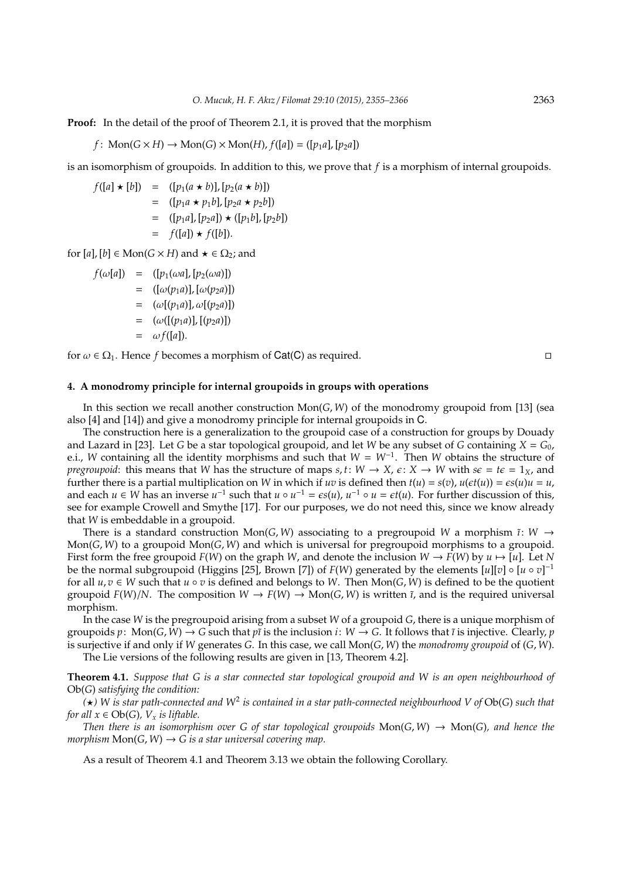**Proof:** In the detail of the proof of Theorem 2.1, it is proved that the morphism

 $f: \text{Mon}(G \times H) \rightarrow \text{Mon}(G) \times \text{Mon}(H)$ ,  $f([a]) = ([p_1a], [p_2a])$ 

is an isomorphism of groupoids. In addition to this, we prove that *f* is a morphism of internal groupoids.

$$
f([a] \star [b]) = ([p_1(a \star b)], [p_2(a \star b)])
$$
  
= ([p\_1a \star p\_1b], [p\_2a \star p\_2b])  
= ([p\_1a], [p\_2a]) \star ([p\_1b], [p\_2b])  
= f([a]) \star f([b]).

for  $[a]$ ,  $[b] \in \text{Mon}(G \times H)$  and  $\star \in \Omega_2$ ; and

*f*( $\omega[a]$ ) = ([ $p_1(\omega a)$ , [ $p_2(\omega a)$ ])  $=$  ([ $\omega(p_1a)$ ], [ $\omega(p_2a)$ ])  $= (\omega[(p_1a)], \omega[(p_2a)]$  $= (\omega([p_1a)], [(p_2a)])$  $= \omega f([a]).$ 

for  $\omega \in \Omega_1$ . Hence *f* becomes a morphism of Cat(C) as required.

# **4. A monodromy principle for internal groupoids in groups with operations**

In this section we recall another construction Mon(*G*, *W*) of the monodromy groupoid from [13] (sea also [4] and [14]) and give a monodromy principle for internal groupoids in C.

The construction here is a generalization to the groupoid case of a construction for groups by Douady and Lazard in [23]. Let *G* be a star topological groupoid, and let *W* be any subset of *G* containing  $X = G_0$ , e.i., *W* containing all the identity morphisms and such that *W* = *W*<sup>−</sup><sup>1</sup> . Then *W* obtains the structure of *pregroupoid*: this means that *W* has the structure of maps *s*, *t*:  $W \rightarrow X$ ,  $\varepsilon$ :  $X \rightarrow W$  with  $s\varepsilon = t\varepsilon = 1_X$ , and further there is a partial multiplication on *W* in which if *uv* is defined then  $t(u) = s(v)$ ,  $u(\epsilon t(u)) = \epsilon s(u)u = u$ , and each  $u \in W$  has an inverse  $u^{-1}$  such that  $u \circ u^{-1} = \epsilon s(u)$ ,  $u^{-1} \circ u = \epsilon t(u)$ . For further discussion of this, see for example Crowell and Smythe [17]. For our purposes, we do not need this, since we know already that *W* is embeddable in a groupoid.

There is a standard construction Mon(*G*, *W*) associating to a pregroupoid *W* a morphism  $\tilde{i}: W \rightarrow$ Mon(*G*, *W*) to a groupoid Mon(*G*, *W*) and which is universal for pregroupoid morphisms to a groupoid. First form the free groupoid  $F(W)$  on the graph *W*, and denote the inclusion  $W \to F(W)$  by  $u \mapsto [u]$ . Let *N* be the normal subgroupoid (Higgins [25], Brown [7]) of *F*(*W*) generated by the elements [*u*][*v*] ◦ [*u* ◦ *v*] −1 for all  $u, v \in W$  such that  $u \circ v$  is defined and belongs to W. Then Mon(*G*, *W*) is defined to be the quotient groupoid  $F(W)/N$ . The composition  $W \to F(W) \to \text{Mon}(G, W)$  is written  $\tilde{\iota}$ , and is the required universal morphism.

In the case *W* is the pregroupoid arising from a subset *W* of a groupoid *G*, there is a unique morphism of groupoids  $p: \text{Mon}(G, W) \to G$  such that  $p\tilde{i}$  is the inclusion  $i: W \to G$ . It follows that  $\tilde{i}$  is injective. Clearly,  $p$ is surjective if and only if *W* generates *G*. In this case, we call Mon(*G*, *W*) the *monodromy groupoid* of (*G*, *W*).

The Lie versions of the following results are given in [13, Theorem 4.2].

**Theorem 4.1.** *Suppose that G is a star connected star topological groupoid and W is an open neighbourhood of* Ob(*G*) *satisfying the condition:*

*(*?*) W is star path-connected and W*<sup>2</sup> *is contained in a star path-connected neighbourhood V of* Ob(*G*) *such that for all*  $x \in Ob(G)$ *, V<sub>x</sub> is liftable.* 

*Then there is an isomorphism over G of star topological groupoids*  $Mon(G, W) \rightarrow Mon(G)$ *, and hence the morphism*  $Mon(G, W) \rightarrow G$  *is a star universal covering map.* 

As a result of Theorem 4.1 and Theorem 3.13 we obtain the following Corollary.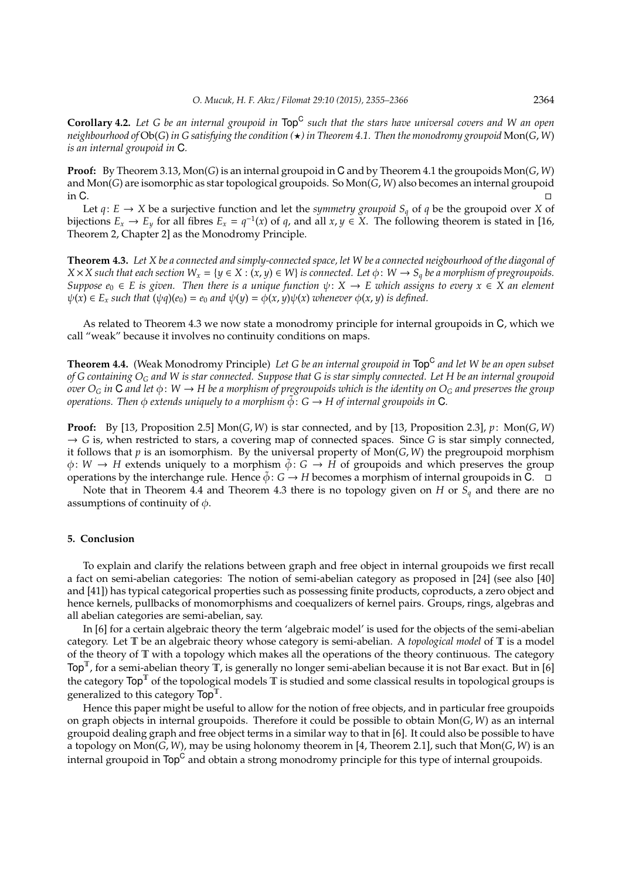**Corollary 4.2.** *Let G be an internal groupoid in* Top<sup>C</sup> *such that the stars have universal covers and W an open neighbourhood of*  $Ob(G)$  *in G satisfying the condition*  $\star$ *) in Theorem 4.1. Then the monodromy groupoid* Mon(*G*, *W*) *is an internal groupoid in* C*.*

**Proof:** By Theorem 3.13, Mon(*G*) is an internal groupoid in C and by Theorem 4.1 the groupoids Mon(*G*, *W*) and Mon(*G*) are isomorphic as star topological groupoids. So Mon(*G*, *W*) also becomes an internal groupoid in C.

Let  $q: E \to X$  be a surjective function and let the *symmetry groupoid*  $S_q$  of  $q$  be the groupoid over *X* of bijections  $E_x \to E_y$  for all fibres  $E_x = q^{-1}(x)$  of q, and all  $x, y \in X$ . The following theorem is stated in [16, Theorem 2, Chapter 2] as the Monodromy Principle.

**Theorem 4.3.** *Let X be a connected and simply-connected space, let W be a connected neigbourhood of the diagonal of*  $X \times X$  such that each section  $W_x = \{y \in X : (x, y) \in W\}$  *is connected. Let*  $\phi: W \to S_q$  *be a morphism of pregroupoids. Suppose*  $e_0 \in E$  *is given. Then there is a unique function*  $\psi: X \to E$  which assigns to every  $x \in X$  an element  $\psi(x) \in E_x$  *such that*  $(\psi q)(e_0) = e_0$  *and*  $\psi(y) = \phi(x, y)\psi(x)$  *whenever*  $\phi(x, y)$  *is defined.* 

As related to Theorem 4.3 we now state a monodromy principle for internal groupoids in C, which we call "weak" because it involves no continuity conditions on maps.

**Theorem 4.4.** (Weak Monodromy Principle) *Let G be an internal groupoid in* Top<sup>C</sup> *and let W be an open subset of G containing O<sup>G</sup> and W is star connected. Suppose that G is star simply connected. Let H be an internal groupoid over*  $O_G$  *in*  $G$  *and let*  $\phi: W \to H$  *be a morphism of pregroupoids which is the identity on*  $O_G$  *and preserves the group operations. Then*  $\phi$  *extends uniquely to a morphism*  $\tilde{\phi}$ :  $G \rightarrow H$  *of internal groupoids in* C*.* 

**Proof:** By [13, Proposition 2.5] Mon(*G*, *W*) is star connected, and by [13, Proposition 2.3], *p*: Mon(*G*, *W*)  $\rightarrow$  *G* is, when restricted to stars, a covering map of connected spaces. Since *G* is star simply connected, it follows that *p* is an isomorphism. By the universal property of Mon(*G*, *W*) the pregroupoid morphism  $\phi: W \to H$  extends uniquely to a morphism  $\tilde{\phi}: G \to H$  of groupoids and which preserves the group operations by the interchange rule. Hence  $\phi$ : *G*  $\rightarrow$  *H* becomes a morphism of internal groupoids in C.  $\Box$ 

Note that in Theorem 4.4 and Theorem 4.3 there is no topology given on *H* or *S<sup>q</sup>* and there are no assumptions of continuity of  $\phi$ .

#### **5. Conclusion**

To explain and clarify the relations between graph and free object in internal groupoids we first recall a fact on semi-abelian categories: The notion of semi-abelian category as proposed in [24] (see also [40] and [41]) has typical categorical properties such as possessing finite products, coproducts, a zero object and hence kernels, pullbacks of monomorphisms and coequalizers of kernel pairs. Groups, rings, algebras and all abelian categories are semi-abelian, say.

In [6] for a certain algebraic theory the term 'algebraic model' is used for the objects of the semi-abelian category. Let T be an algebraic theory whose category is semi-abelian. A *topological model* of T is a model of the theory of T with a topology which makes all the operations of the theory continuous. The category  $Top^T$ , for a semi-abelian theory  $\overline{T}$ , is generally no longer semi-abelian because it is not Bar exact. But in [6] the category  $\text{Top}^T$  of the topological models  $\tilde{T}$  is studied and some classical results in topological groups is generalized to this category  $\text{Top}^{\mathbb{T}}$ .

Hence this paper might be useful to allow for the notion of free objects, and in particular free groupoids on graph objects in internal groupoids. Therefore it could be possible to obtain Mon(*G*, *W*) as an internal groupoid dealing graph and free object terms in a similar way to that in [6]. It could also be possible to have a topology on Mon(*G*, *W*), may be using holonomy theorem in [4, Theorem 2.1], such that Mon(*G*, *W*) is an internal groupoid in  $\mathsf{Top}^\mathsf{C}$  and obtain a strong monodromy principle for this type of internal groupoids.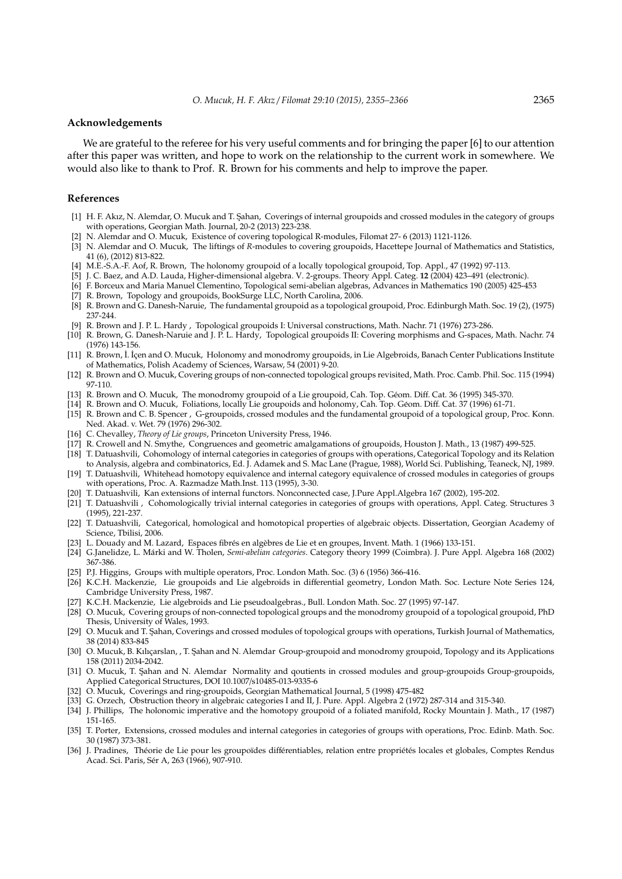#### **Acknowledgements**

We are grateful to the referee for his very useful comments and for bringing the paper [6] to our attention after this paper was written, and hope to work on the relationship to the current work in somewhere. We would also like to thank to Prof. R. Brown for his comments and help to improve the paper.

## **References**

- [1] H. F. Akız, N. Alemdar, O. Mucuk and T. Sahan, Coverings of internal groupoids and crossed modules in the category of groups with operations, Georgian Math. Journal, 20-2 (2013) 223-238.
- [2] N. Alemdar and O. Mucuk, Existence of covering topological R-modules, Filomat 27- 6 (2013) 1121-1126.
- [3] N. Alemdar and O. Mucuk, The liftings of *R*-modules to covering groupoids, Hacettepe Journal of Mathematics and Statistics, 41 (6), (2012) 813-822.
- [4] M.E.-S.A.-F. Aof, R. Brown, The holonomy groupoid of a locally topological groupoid, Top. Appl., 47 (1992) 97-113.
- [5] J. C. Baez, and A.D. Lauda, Higher-dimensional algebra. V. 2-groups. Theory Appl. Categ. **12** (2004) 423–491 (electronic).
- [6] F. Borceux and Maria Manuel Clementino, Topological semi-abelian algebras, Advances in Mathematics 190 (2005) 425-453
- [7] R. Brown, Topology and groupoids, BookSurge LLC, North Carolina, 2006.
- [8] R. Brown and G. Danesh-Naruie, The fundamental groupoid as a topological groupoid, Proc. Edinburgh Math. Soc. 19 (2), (1975) 237-244.
- [9] R. Brown and J. P. L. Hardy , Topological groupoids I: Universal constructions, Math. Nachr. 71 (1976) 273-286.
- [10] R. Brown, G. Danesh-Naruie and J. P. L. Hardy, Topological groupoids II: Covering morphisms and G-spaces, Math. Nachr. 74 (1976) 143-156.
- [11] R. Brown, İ. İçen and O. Mucuk, Holonomy and monodromy groupoids, in Lie Algebroids, Banach Center Publications Institute of Mathematics, Polish Academy of Sciences, Warsaw, 54 (2001) 9-20.
- [12] R. Brown and O. Mucuk, Covering groups of non-connected topological groups revisited, Math. Proc. Camb. Phil. Soc. 115 (1994) 97-110.
- [13] R. Brown and O. Mucuk, The monodromy groupoid of a Lie groupoid, Cah. Top. Géom. Diff. Cat. 36 (1995) 345-370.
- [14] R. Brown and O. Mucuk, Foliations, locally Lie groupoids and holonomy, Cah. Top. Géom. Diff. Cat. 37 (1996) 61-71.
- [15] R. Brown and C. B. Spencer , G-groupoids, crossed modules and the fundamental groupoid of a topological group, Proc. Konn. Ned. Akad. v. Wet. 79 (1976) 296-302.
- [16] C. Chevalley, *Theory of Lie groups*, Princeton University Press, 1946.
- [17] R. Crowell and N. Smythe, Congruences and geometric amalgamations of groupoids, Houston J. Math., 13 (1987) 499-525.
- [18] T. Datuashvili, Cohomology of internal categories in categories of groups with operations, Categorical Topology and its Relation to Analysis, algebra and combinatorics, Ed. J. Adamek and S. Mac Lane (Prague, 1988), World Sci. Publishing, Teaneck, NJ, 1989.
- [19] T. Datuashvili, Whitehead homotopy equivalence and internal category equivalence of crossed modules in categories of groups with operations, Proc. A. Razmadze Math.Inst. 113 (1995), 3-30.
- [20] T. Datuashvili, Kan extensions of internal functors. Nonconnected case, J.Pure Appl.Algebra 167 (2002), 195-202.
- [21] T. Datuashvili , Cohomologically trivial internal categories in categories of groups with operations, Appl. Categ. Structures 3 (1995), 221-237.
- [22] T. Datuashvili, Categorical, homological and homotopical properties of algebraic objects. Dissertation, Georgian Academy of Science, Tbilisi, 2006.
- [23] L. Douady and M. Lazard, Espaces fibrés en algèbres de Lie et en groupes, Invent. Math. 1 (1966) 133-151.
- [24] G.Janelidze, L. Márki and W. Tholen, Semi-abelian categories. Category theory 1999 (Coimbra). J. Pure Appl. Algebra 168 (2002) 367-386.
- [25] P.J. Higgins, Groups with multiple operators, Proc. London Math. Soc. (3) 6 (1956) 366-416.
- [26] K.C.H. Mackenzie, Lie groupoids and Lie algebroids in differential geometry, London Math. Soc. Lecture Note Series 124, Cambridge University Press, 1987.
- [27] K.C.H. Mackenzie, Lie algebroids and Lie pseudoalgebras., Bull. London Math. Soc. 27 (1995) 97-147.
- [28] O. Mucuk, Covering groups of non-connected topological groups and the monodromy groupoid of a topological groupoid, PhD Thesis, University of Wales, 1993.
- [29] O. Mucuk and T. Şahan, Coverings and crossed modules of topological groups with operations, Turkish Journal of Mathematics, 38 (2014) 833-845
- [30] O. Mucuk, B. Kılıçarslan, , T. Şahan and N. Alemdar Group-groupoid and monodromy groupoid, Topology and its Applications 158 (2011) 2034-2042.
- [31] O. Mucuk, T. Sahan and N. Alemdar Normality and qoutients in crossed modules and group-groupoids Group-groupoids, Applied Categorical Structures, DOI 10.1007/s10485-013-9335-6
- [32] O. Mucuk, Coverings and ring-groupoids, Georgian Mathematical Journal, 5 (1998) 475-482
- [33] G. Orzech, Obstruction theory in algebraic categories I and II, J. Pure. Appl. Algebra 2 (1972) 287-314 and 315-340.
- [34] J. Phillips, The holonomic imperative and the homotopy groupoid of a foliated manifold, Rocky Mountain J. Math., 17 (1987) 151-165.
- [35] T. Porter, Extensions, crossed modules and internal categories in categories of groups with operations, Proc. Edinb. Math. Soc. 30 (1987) 373-381.
- [36] J. Pradines, Théorie de Lie pour les groupoïdes différentiables, relation entre propriétés locales et globales, Comptes Rendus Acad. Sci. Paris, Sér A, 263 (1966), 907-910.